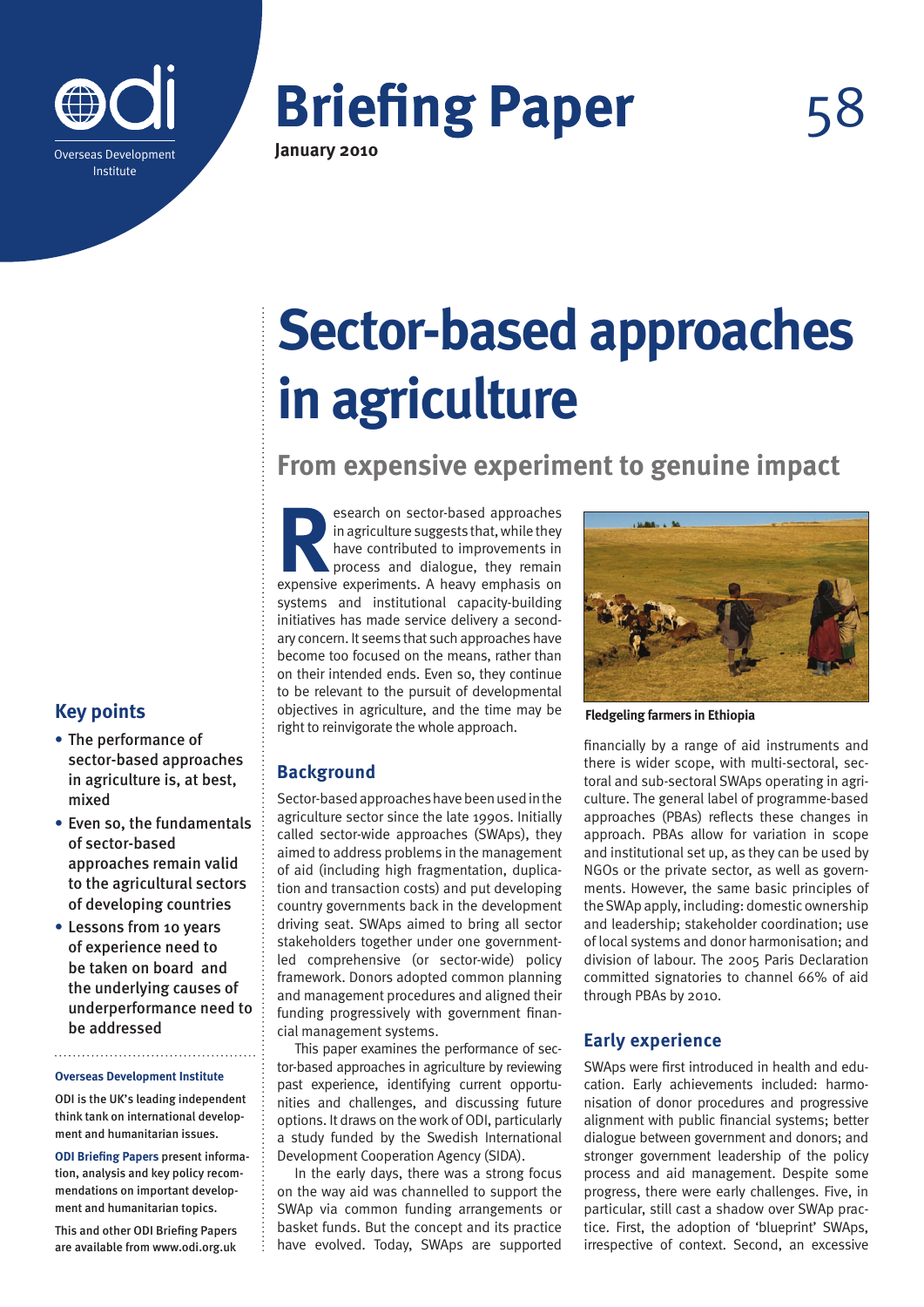

**Briefing Paper January 2010**

# **Sector-based approaches in agriculture**

**From expensive experiment to genuine impact**

**Research on sector-based approaches**<br>in agriculture suggests that, while they<br>have contributed to improvements in<br>process and dialogue, they remain<br>expensive experiments. A heavy emphasis on in agriculture suggests that, while they have contributed to improvements in process and dialogue, they remain expensive experiments. A heavy emphasis on systems and institutional capacity-building initiatives has made service delivery a secondary concern. It seems that such approaches have become too focused on the means, rather than on their intended ends. Even so, they continue to be relevant to the pursuit of developmental objectives in agriculture, and the time may be right to reinvigorate the whole approach.

# **Background**

Sector-based approaches have been used in the agriculture sector since the late 1990s. Initially called sector-wide approaches (SWAps), they aimed to address problems in the management of aid (including high fragmentation, duplication and transaction costs) and put developing country governments back in the development driving seat. SWAps aimed to bring all sector stakeholders together under one governmentled comprehensive (or sector-wide) policy framework. Donors adopted common planning and management procedures and aligned their funding progressively with government financial management systems.

This paper examines the performance of sector-based approaches in agriculture by reviewing past experience, identifying current opportunities and challenges, and discussing future options. It draws on the work of ODI, particularly a study funded by the Swedish International Development Cooperation Agency (SIDA).

In the early days, there was a strong focus on the way aid was channelled to support the SWAp via common funding arrangements or basket funds. But the concept and its practice have evolved. Today, SWAps are supported

**Fledgeling farmers in Ethiopia**

financially by a range of aid instruments and there is wider scope, with multi-sectoral, sectoral and sub-sectoral SWAps operating in agriculture. The general label of programme-based approaches (PBAs) reflects these changes in approach. PBAs allow for variation in scope and institutional set up, as they can be used by NGOs or the private sector, as well as governments. However, the same basic principles of the SWAp apply, including: domestic ownership and leadership; stakeholder coordination; use of local systems and donor harmonisation; and division of labour. The 2005 Paris Declaration committed signatories to channel 66% of aid through PBAs by 2010.

# **Early experience**

SWAps were first introduced in health and education. Early achievements included: harmonisation of donor procedures and progressive alignment with public financial systems; better dialogue between government and donors; and stronger government leadership of the policy process and aid management. Despite some progress, there were early challenges. Five, in particular, still cast a shadow over SWAp practice. First, the adoption of 'blueprint' SWAps, irrespective of context. Second, an excessive

# **Key points**

- **•** The performance of sector-based approaches in agriculture is, at best, mixed
- **•** Even so, the fundamentals of sector-based approaches remain valid to the agricultural sectors of developing countries
- **•** Lessons from 10 years of experience need to be taken on board and the underlying causes of underperformance need to be addressed

#### **Overseas Development Institute**

ODI is the UK's leading independent think tank on international development and humanitarian issues.

**ODI Briefing Papers** present information, analysis and key policy recommendations on important development and humanitarian topics.

This and other ODI Briefing Papers are available from www.odi.org.uk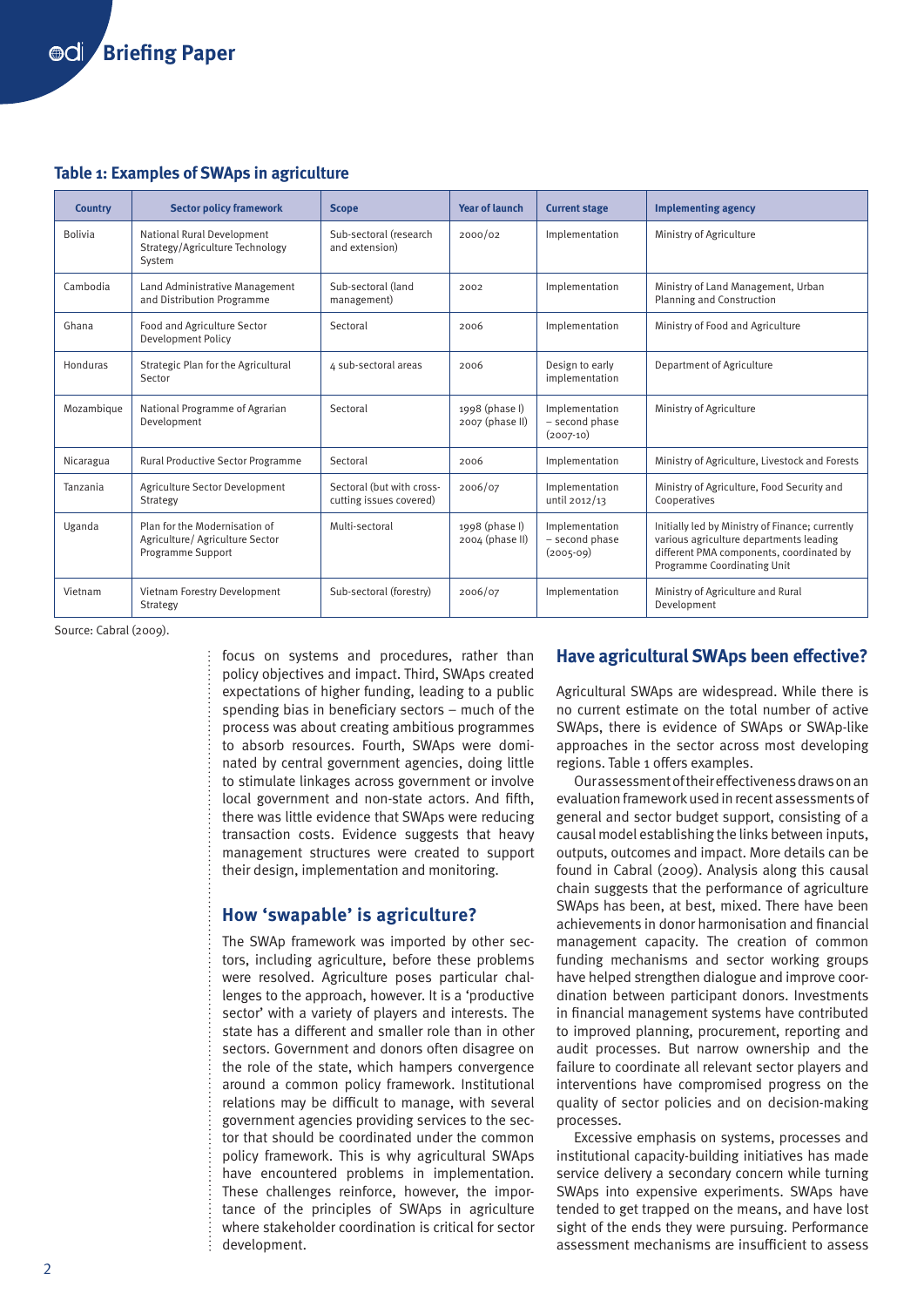#### **Table 1: Examples of SWAps in agriculture**

| <b>Country</b> | <b>Sector policy framework</b>                                                        | <b>Scope</b>                                         | <b>Year of launch</b>             | <b>Current stage</b>                            | <b>Implementing agency</b>                                                                                                                                            |
|----------------|---------------------------------------------------------------------------------------|------------------------------------------------------|-----------------------------------|-------------------------------------------------|-----------------------------------------------------------------------------------------------------------------------------------------------------------------------|
| <b>Bolivia</b> | National Rural Development<br>Strategy/Agriculture Technology<br>System               | Sub-sectoral (research<br>and extension)             | 2000/02                           | Implementation                                  | Ministry of Agriculture                                                                                                                                               |
| Cambodia       | Land Administrative Management<br>and Distribution Programme                          | Sub-sectoral (land<br>management)                    | 2002                              | Implementation                                  | Ministry of Land Management, Urban<br>Planning and Construction                                                                                                       |
| Ghana          | Food and Agriculture Sector<br><b>Development Policy</b>                              | Sectoral                                             | 2006                              | Implementation                                  | Ministry of Food and Agriculture                                                                                                                                      |
| Honduras       | Strategic Plan for the Agricultural<br>Sector                                         | 4 sub-sectoral areas                                 | 2006                              | Design to early<br>implementation               | Department of Agriculture                                                                                                                                             |
| Mozambique     | National Programme of Agrarian<br>Development                                         | Sectoral                                             | 1998 (phase I)<br>2007 (phase II) | Implementation<br>- second phase<br>$(2007-10)$ | Ministry of Agriculture                                                                                                                                               |
| Nicaragua      | Rural Productive Sector Programme                                                     | Sectoral                                             | 2006                              | Implementation                                  | Ministry of Agriculture, Livestock and Forests                                                                                                                        |
| Tanzania       | Agriculture Sector Development<br>Strategy                                            | Sectoral (but with cross-<br>cutting issues covered) | 2006/07                           | Implementation<br>until 2012/13                 | Ministry of Agriculture, Food Security and<br>Cooperatives                                                                                                            |
| Uganda         | Plan for the Modernisation of<br>Agriculture/ Agriculture Sector<br>Programme Support | Multi-sectoral                                       | 1998 (phase I)<br>2004 (phase II) | Implementation<br>- second phase<br>$(2005-09)$ | Initially led by Ministry of Finance; currently<br>various agriculture departments leading<br>different PMA components, coordinated by<br>Programme Coordinating Unit |
| Vietnam        | Vietnam Forestry Development<br>Strategy                                              | Sub-sectoral (forestry)                              | 2006/07                           | Implementation                                  | Ministry of Agriculture and Rural<br>Development                                                                                                                      |

Source: Cabral (2009).

focus on systems and procedures, rather than policy objectives and impact. Third, SWAps created expectations of higher funding, leading to a public spending bias in beneficiary sectors – much of the process was about creating ambitious programmes to absorb resources. Fourth, SWAps were dominated by central government agencies, doing little to stimulate linkages across government or involve local government and non-state actors. And fifth, there was little evidence that SWAps were reducing transaction costs. Evidence suggests that heavy management structures were created to support their design, implementation and monitoring.

# **How 'swapable' is agriculture?**

The SWAp framework was imported by other sectors, including agriculture, before these problems were resolved. Agriculture poses particular challenges to the approach, however. It is a 'productive sector' with a variety of players and interests. The state has a different and smaller role than in other sectors. Government and donors often disagree on the role of the state, which hampers convergence around a common policy framework. Institutional relations may be difficult to manage, with several government agencies providing services to the sector that should be coordinated under the common policy framework. This is why agricultural SWAps have encountered problems in implementation. These challenges reinforce, however, the importance of the principles of SWAps in agriculture where stakeholder coordination is critical for sector development.

# **Have agricultural SWAps been effective?**

Agricultural SWAps are widespread. While there is no current estimate on the total number of active SWAps, there is evidence of SWAps or SWAp-like approaches in the sector across most developing regions. Table 1 offers examples.

Our assessment of their effectiveness draws on an evaluation framework used in recent assessments of general and sector budget support, consisting of a causal model establishing the links between inputs, outputs, outcomes and impact. More details can be found in Cabral (2009). Analysis along this causal chain suggests that the performance of agriculture SWAps has been, at best, mixed. There have been achievements in donor harmonisation and financial management capacity. The creation of common funding mechanisms and sector working groups have helped strengthen dialogue and improve coordination between participant donors. Investments in financial management systems have contributed to improved planning, procurement, reporting and audit processes. But narrow ownership and the failure to coordinate all relevant sector players and interventions have compromised progress on the quality of sector policies and on decision-making processes.

Excessive emphasis on systems, processes and institutional capacity-building initiatives has made service delivery a secondary concern while turning SWAps into expensive experiments. SWAps have tended to get trapped on the means, and have lost sight of the ends they were pursuing. Performance assessment mechanisms are insufficient to assess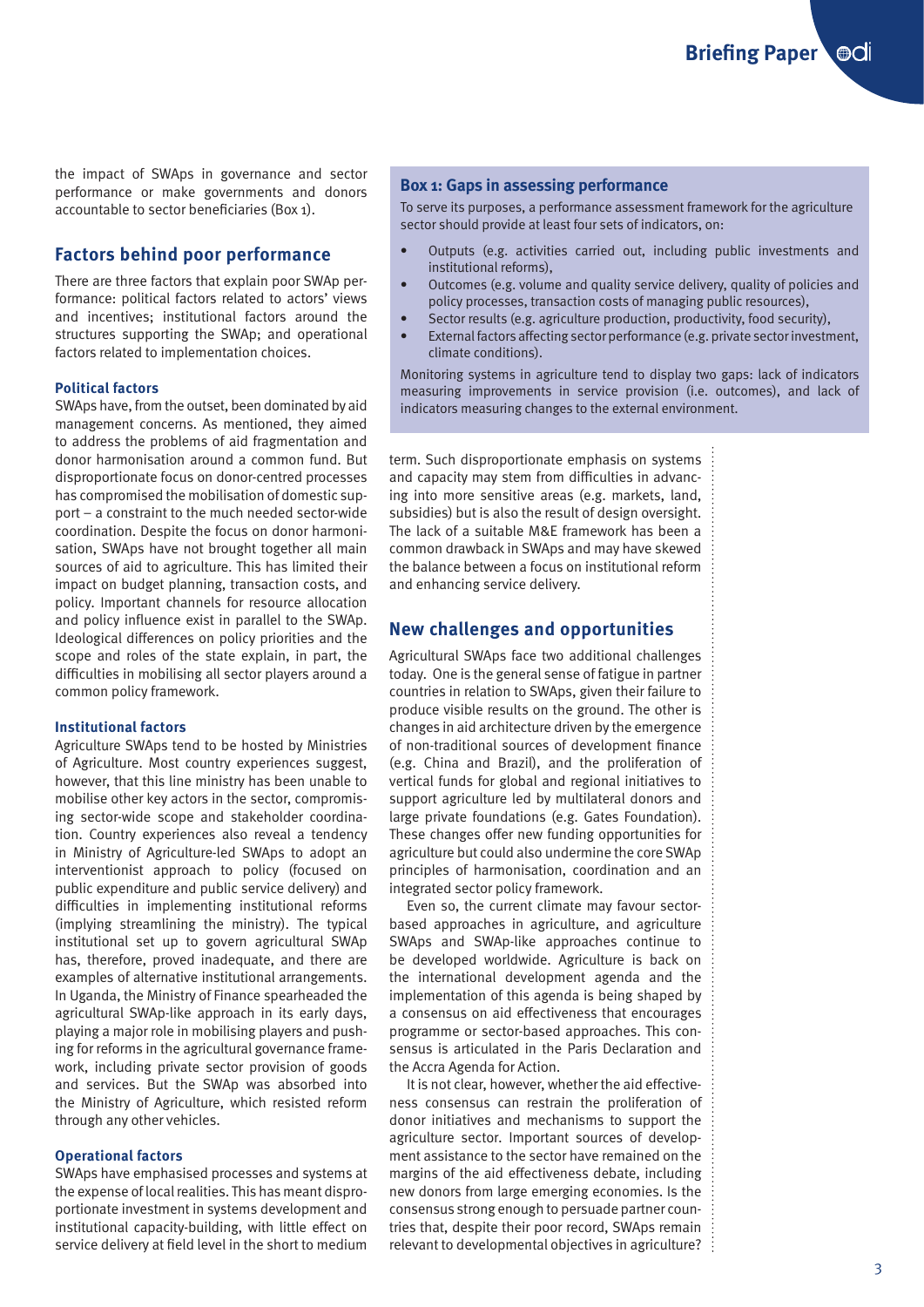**Briefing Paper @CII** 

the impact of SWAps in governance and sector performance or make governments and donors accountable to sector beneficiaries (Box 1).

# **Factors behind poor performance**

There are three factors that explain poor SWAp performance: political factors related to actors' views and incentives; institutional factors around the structures supporting the SWAp; and operational factors related to implementation choices.

#### **Political factors**

SWAps have, from the outset, been dominated by aid management concerns. As mentioned, they aimed to address the problems of aid fragmentation and donor harmonisation around a common fund. But disproportionate focus on donor-centred processes has compromised the mobilisation of domestic support – a constraint to the much needed sector-wide coordination. Despite the focus on donor harmonisation, SWAps have not brought together all main sources of aid to agriculture. This has limited their impact on budget planning, transaction costs, and policy. Important channels for resource allocation and policy influence exist in parallel to the SWAp. Ideological differences on policy priorities and the scope and roles of the state explain, in part, the difficulties in mobilising all sector players around a common policy framework.

#### **Institutional factors**

Agriculture SWAps tend to be hosted by Ministries of Agriculture. Most country experiences suggest, however, that this line ministry has been unable to mobilise other key actors in the sector, compromising sector-wide scope and stakeholder coordination. Country experiences also reveal a tendency in Ministry of Agriculture-led SWAps to adopt an interventionist approach to policy (focused on public expenditure and public service delivery) and difficulties in implementing institutional reforms (implying streamlining the ministry). The typical institutional set up to govern agricultural SWAp has, therefore, proved inadequate, and there are examples of alternative institutional arrangements. In Uganda, the Ministry of Finance spearheaded the agricultural SWAp-like approach in its early days, playing a major role in mobilising players and pushing for reforms in the agricultural governance framework, including private sector provision of goods and services. But the SWAp was absorbed into the Ministry of Agriculture, which resisted reform through any other vehicles.

#### **Operational factors**

SWAps have emphasised processes and systems at the expense of local realities. This has meant disproportionate investment in systems development and institutional capacity-building, with little effect on service delivery at field level in the short to medium

#### **Box 1: Gaps in assessing performance**

To serve its purposes, a performance assessment framework for the agriculture sector should provide at least four sets of indicators, on:

- • Outputs (e.g. activities carried out, including public investments and institutional reforms),
- Outcomes (e.g. volume and quality service delivery, quality of policies and policy processes, transaction costs of managing public resources),
- Sector results (e.g. agriculture production, productivity, food security),
- External factors affecting sector performance (e.g. private sector investment, climate conditions).

Monitoring systems in agriculture tend to display two gaps: lack of indicators measuring improvements in service provision (i.e. outcomes), and lack of indicators measuring changes to the external environment.

term. Such disproportionate emphasis on systems and capacity may stem from difficulties in advancing into more sensitive areas (e.g. markets, land, subsidies) but is also the result of design oversight. The lack of a suitable M&E framework has been a common drawback in SWAps and may have skewed the balance between a focus on institutional reform and enhancing service delivery.

### **New challenges and opportunities**

Agricultural SWAps face two additional challenges today. One is the general sense of fatigue in partner countries in relation to SWAps, given their failure to produce visible results on the ground. The other is changes in aid architecture driven by the emergence of non-traditional sources of development finance (e.g. China and Brazil), and the proliferation of vertical funds for global and regional initiatives to support agriculture led by multilateral donors and large private foundations (e.g. Gates Foundation). These changes offer new funding opportunities for agriculture but could also undermine the core SWAp principles of harmonisation, coordination and an integrated sector policy framework.

Even so, the current climate may favour sectorbased approaches in agriculture, and agriculture SWAps and SWAp-like approaches continue to be developed worldwide. Agriculture is back on the international development agenda and the implementation of this agenda is being shaped by a consensus on aid effectiveness that encourages programme or sector-based approaches. This consensus is articulated in the Paris Declaration and the Accra Agenda for Action.

It is not clear, however, whether the aid effectiveness consensus can restrain the proliferation of donor initiatives and mechanisms to support the agriculture sector. Important sources of development assistance to the sector have remained on the margins of the aid effectiveness debate, including new donors from large emerging economies. Is the consensus strong enough to persuade partner countries that, despite their poor record, SWAps remain relevant to developmental objectives in agriculture?